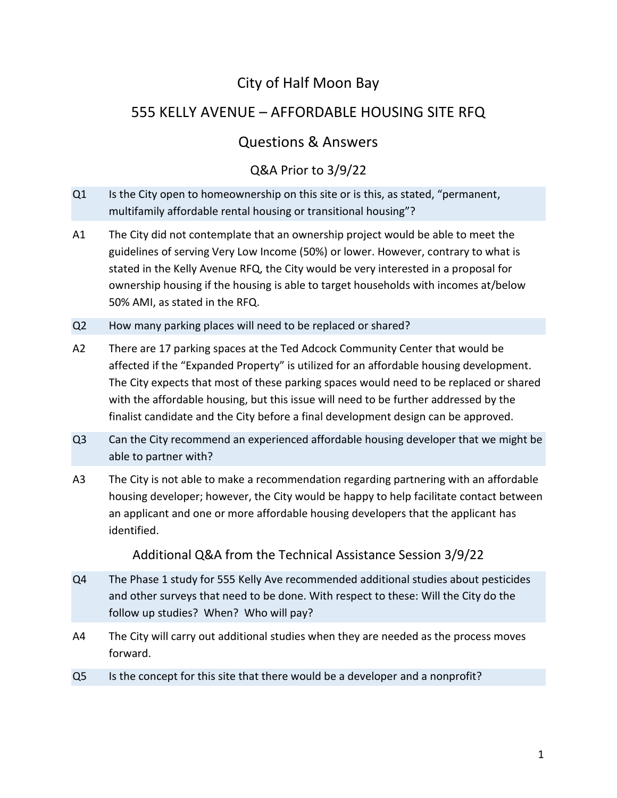## City of Half Moon Bay

## 555 KELLY AVENUE – AFFORDABLE HOUSING SITE RFQ

## Questions & Answers

## Q&A Prior to 3/9/22

- Q1 Is the City open to homeownership on this site or is this, as stated, "permanent, multifamily affordable rental housing or transitional housing"?
- A1 The City did not contemplate that an ownership project would be able to meet the guidelines of serving Very Low Income (50%) or lower. However, contrary to what is stated in the Kelly Avenue RFQ, the City would be very interested in a proposal for ownership housing if the housing is able to target households with incomes at/below 50% AMI, as stated in the RFQ.
- Q2 How many parking places will need to be replaced or shared?
- A2 There are 17 parking spaces at the Ted Adcock Community Center that would be affected if the "Expanded Property" is utilized for an affordable housing development. The City expects that most of these parking spaces would need to be replaced or shared with the affordable housing, but this issue will need to be further addressed by the finalist candidate and the City before a final development design can be approved.
- Q3 Can the City recommend an experienced affordable housing developer that we might be able to partner with?
- A3 The City is not able to make a recommendation regarding partnering with an affordable housing developer; however, the City would be happy to help facilitate contact between an applicant and one or more affordable housing developers that the applicant has identified.

Additional Q&A from the Technical Assistance Session 3/9/22

- Q4 The Phase 1 study for 555 Kelly Ave recommended additional studies about pesticides and other surveys that need to be done. With respect to these: Will the City do the follow up studies? When? Who will pay?
- A4 The City will carry out additional studies when they are needed as the process moves forward.
- Q5 Is the concept for this site that there would be a developer and a nonprofit?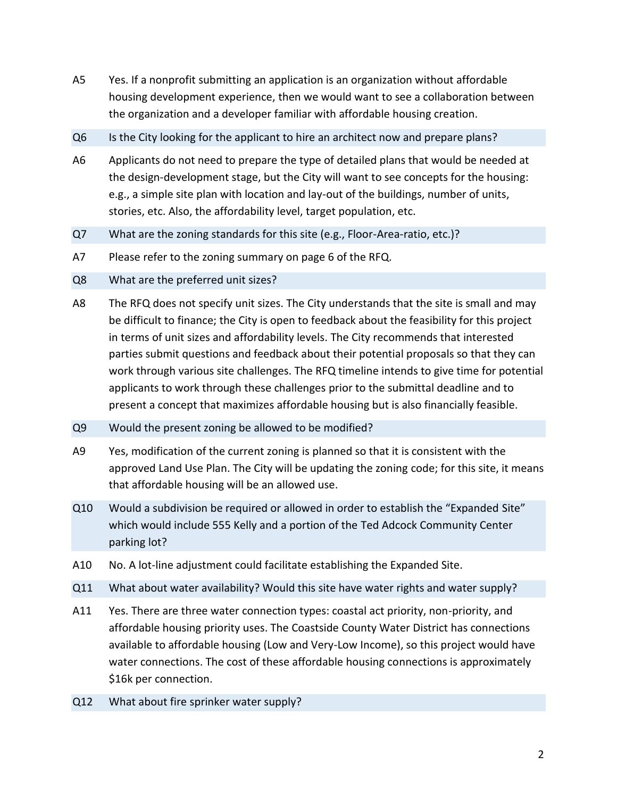- A5 Yes. If a nonprofit submitting an application is an organization without affordable housing development experience, then we would want to see a collaboration between the organization and a developer familiar with affordable housing creation.
- Q6 Is the City looking for the applicant to hire an architect now and prepare plans?
- A6 Applicants do not need to prepare the type of detailed plans that would be needed at the design-development stage, but the City will want to see concepts for the housing: e.g., a simple site plan with location and lay-out of the buildings, number of units, stories, etc. Also, the affordability level, target population, etc.
- Q7 What are the zoning standards for this site (e.g., Floor-Area-ratio, etc.)?
- A7 Please refer to the zoning summary on page 6 of the RFQ.
- Q8 What are the preferred unit sizes?
- A8 The RFQ does not specify unit sizes. The City understands that the site is small and may be difficult to finance; the City is open to feedback about the feasibility for this project in terms of unit sizes and affordability levels. The City recommends that interested parties submit questions and feedback about their potential proposals so that they can work through various site challenges. The RFQ timeline intends to give time for potential applicants to work through these challenges prior to the submittal deadline and to present a concept that maximizes affordable housing but is also financially feasible.
- Q9 Would the present zoning be allowed to be modified?
- A9 Yes, modification of the current zoning is planned so that it is consistent with the approved Land Use Plan. The City will be updating the zoning code; for this site, it means that affordable housing will be an allowed use.
- Q10 Would a subdivision be required or allowed in order to establish the "Expanded Site" which would include 555 Kelly and a portion of the Ted Adcock Community Center parking lot?
- A10 No. A lot-line adjustment could facilitate establishing the Expanded Site.
- Q11 What about water availability? Would this site have water rights and water supply?
- A11 Yes. There are three water connection types: coastal act priority, non-priority, and affordable housing priority uses. The Coastside County Water District has connections available to affordable housing (Low and Very-Low Income), so this project would have water connections. The cost of these affordable housing connections is approximately \$16k per connection.
- Q12 What about fire sprinker water supply?